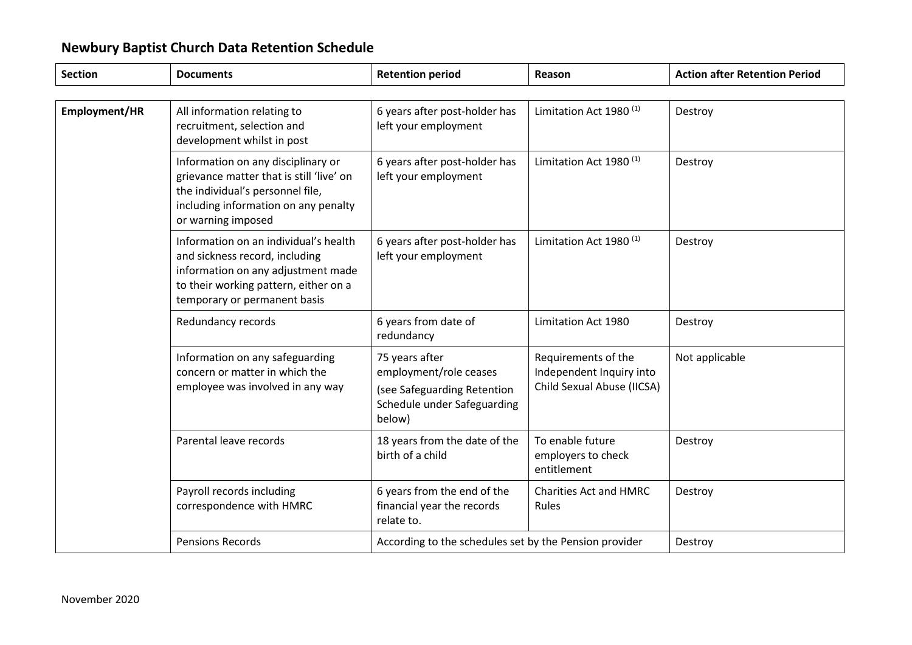| <b>Section</b> | <b>Documents</b>                                                                                                                                                                       | <b>Retention period</b>                                                                                          | Reason                                                                        | <b>Action after Retention Period</b> |
|----------------|----------------------------------------------------------------------------------------------------------------------------------------------------------------------------------------|------------------------------------------------------------------------------------------------------------------|-------------------------------------------------------------------------------|--------------------------------------|
|                |                                                                                                                                                                                        |                                                                                                                  |                                                                               |                                      |
| Employment/HR  | All information relating to<br>recruitment, selection and<br>development whilst in post                                                                                                | 6 years after post-holder has<br>left your employment                                                            | Limitation Act 1980 <sup>(1)</sup>                                            | Destroy                              |
|                | Information on any disciplinary or<br>grievance matter that is still 'live' on<br>the individual's personnel file,<br>including information on any penalty<br>or warning imposed       | 6 years after post-holder has<br>left your employment                                                            | Limitation Act 1980 <sup>(1)</sup>                                            | Destroy                              |
|                | Information on an individual's health<br>and sickness record, including<br>information on any adjustment made<br>to their working pattern, either on a<br>temporary or permanent basis | 6 years after post-holder has<br>left your employment                                                            | Limitation Act 1980 <sup>(1)</sup>                                            | Destroy                              |
|                | Redundancy records                                                                                                                                                                     | 6 years from date of<br>redundancy                                                                               | Limitation Act 1980                                                           | Destroy                              |
|                | Information on any safeguarding<br>concern or matter in which the<br>employee was involved in any way                                                                                  | 75 years after<br>employment/role ceases<br>(see Safeguarding Retention<br>Schedule under Safeguarding<br>below) | Requirements of the<br>Independent Inquiry into<br>Child Sexual Abuse (IICSA) | Not applicable                       |
|                | Parental leave records                                                                                                                                                                 | 18 years from the date of the<br>birth of a child                                                                | To enable future<br>employers to check<br>entitlement                         | Destroy                              |
|                | Payroll records including<br>correspondence with HMRC                                                                                                                                  | 6 years from the end of the<br>financial year the records<br>relate to.                                          | <b>Charities Act and HMRC</b><br>Rules                                        | Destroy                              |
|                | <b>Pensions Records</b>                                                                                                                                                                | According to the schedules set by the Pension provider                                                           |                                                                               | Destroy                              |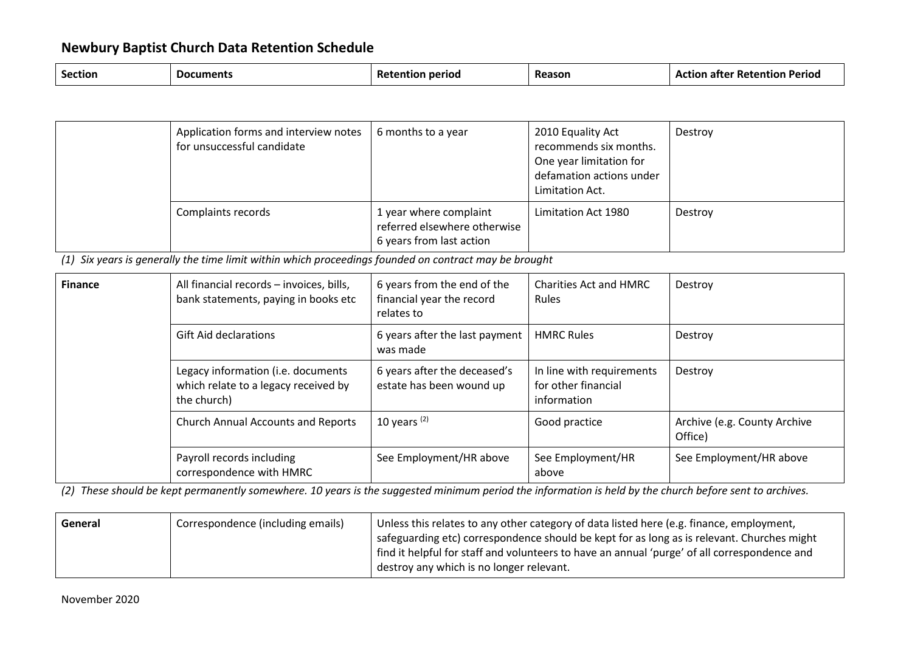| <b>Section</b><br>Reason<br><b>Documents</b><br>Period<br>period<br>' Retention<br>Ret<br>.rion<br>ап |  |  |  |  |  |
|-------------------------------------------------------------------------------------------------------|--|--|--|--|--|
|-------------------------------------------------------------------------------------------------------|--|--|--|--|--|

| Application forms and interview notes<br>for unsuccessful candidate | 6 months to a year                                                                 | 2010 Equality Act<br>recommends six months.<br>One year limitation for<br>defamation actions under<br>Limitation Act. | Destroy |
|---------------------------------------------------------------------|------------------------------------------------------------------------------------|-----------------------------------------------------------------------------------------------------------------------|---------|
| Complaints records                                                  | 1 year where complaint<br>referred elsewhere otherwise<br>6 years from last action | Limitation Act 1980                                                                                                   | Destroy |

*(1) Six years is generally the time limit within which proceedings founded on contract may be brought*

| <b>Finance</b> | All financial records - invoices, bills,<br>bank statements, paying in books etc          | 6 years from the end of the<br>financial year the record<br>relates to | Charities Act and HMRC<br>Rules                                 | Destroy                                 |
|----------------|-------------------------------------------------------------------------------------------|------------------------------------------------------------------------|-----------------------------------------------------------------|-----------------------------------------|
|                | <b>Gift Aid declarations</b>                                                              | 6 years after the last payment<br>was made                             | <b>HMRC Rules</b>                                               | Destroy                                 |
|                | Legacy information (i.e. documents<br>which relate to a legacy received by<br>the church) | 6 years after the deceased's<br>estate has been wound up               | In line with requirements<br>for other financial<br>information | Destroy                                 |
|                | <b>Church Annual Accounts and Reports</b>                                                 | 10 years $(2)$                                                         | Good practice                                                   | Archive (e.g. County Archive<br>Office) |
|                | Payroll records including<br>correspondence with HMRC                                     | See Employment/HR above                                                | See Employment/HR<br>above                                      | See Employment/HR above                 |

*(2) These should be kept permanently somewhere. 10 years is the suggested minimum period the information is held by the church before sent to archives.*

| General | Correspondence (including emails) | Unless this relates to any other category of data listed here (e.g. finance, employment,     |
|---------|-----------------------------------|----------------------------------------------------------------------------------------------|
|         |                                   | safeguarding etc) correspondence should be kept for as long as is relevant. Churches might   |
|         |                                   | find it helpful for staff and volunteers to have an annual 'purge' of all correspondence and |
|         |                                   | destroy any which is no longer relevant.                                                     |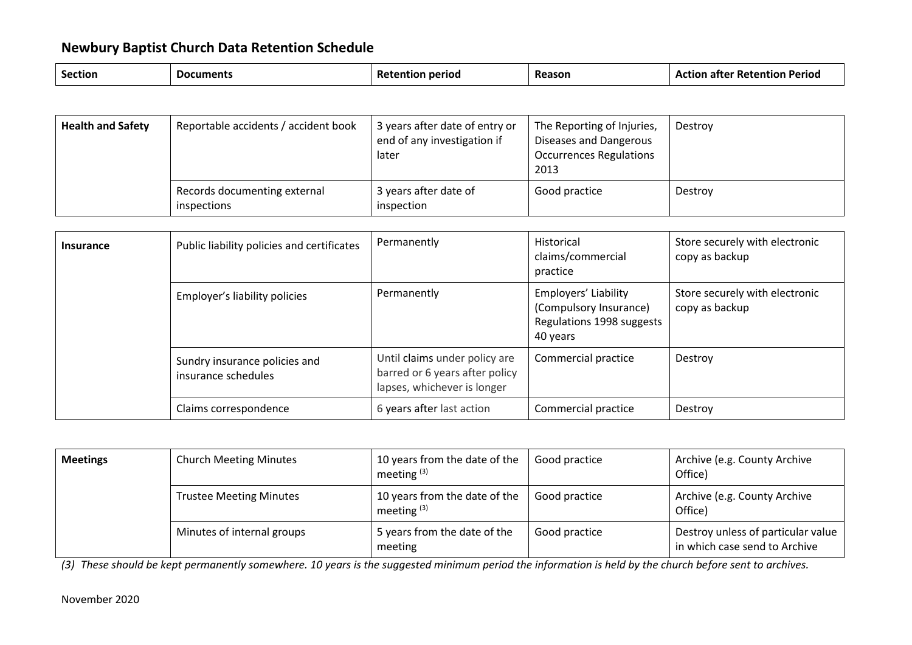| <b>Section</b><br>Reason<br>period<br>. ים ש<br>זנו<br>้าcuments<br>'ior<br>ntior<br>ne. |  |  |  |  | <b>Periog</b> |  |
|------------------------------------------------------------------------------------------|--|--|--|--|---------------|--|
|------------------------------------------------------------------------------------------|--|--|--|--|---------------|--|

| <b>Health and Safety</b> | Reportable accidents / accident book        | 3 years after date of entry or<br>end of any investigation if<br>later | The Reporting of Injuries,<br>Diseases and Dangerous<br><b>Occurrences Regulations</b><br>2013 | Destroy |
|--------------------------|---------------------------------------------|------------------------------------------------------------------------|------------------------------------------------------------------------------------------------|---------|
|                          | Records documenting external<br>inspections | 3 years after date of<br>inspection                                    | Good practice                                                                                  | Destroy |

| <b>Insurance</b> | Public liability policies and certificates           | Permanently                                                                                    | Historical<br>claims/commercial<br>practice                                             | Store securely with electronic<br>copy as backup |
|------------------|------------------------------------------------------|------------------------------------------------------------------------------------------------|-----------------------------------------------------------------------------------------|--------------------------------------------------|
|                  | Employer's liability policies                        | Permanently                                                                                    | Employers' Liability<br>(Compulsory Insurance)<br>Regulations 1998 suggests<br>40 years | Store securely with electronic<br>copy as backup |
|                  | Sundry insurance policies and<br>insurance schedules | Until claims under policy are<br>barred or 6 years after policy<br>lapses, whichever is longer | Commercial practice                                                                     | Destroy                                          |
|                  | Claims correspondence                                | 6 years after last action                                                                      | Commercial practice                                                                     | Destroy                                          |

| <b>Meetings</b> | <b>Church Meeting Minutes</b>  | 10 years from the date of the<br>meeting $(3)$ | Good practice | Archive (e.g. County Archive<br>Office)                             |
|-----------------|--------------------------------|------------------------------------------------|---------------|---------------------------------------------------------------------|
|                 | <b>Trustee Meeting Minutes</b> | 10 years from the date of the<br>meeting $(3)$ | Good practice | Archive (e.g. County Archive<br>Office)                             |
|                 | Minutes of internal groups     | 5 years from the date of the<br>meeting        | Good practice | Destroy unless of particular value<br>in which case send to Archive |

*(3) These should be kept permanently somewhere. 10 years is the suggested minimum period the information is held by the church before sent to archives.*